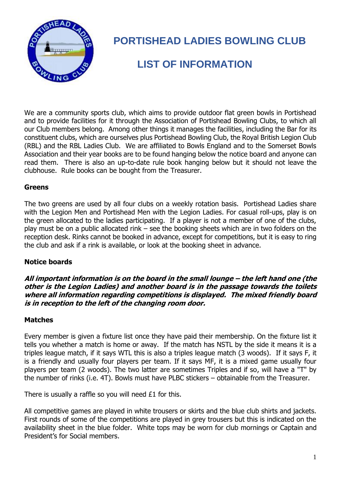

# **PORTISHEAD LADIES BOWLING CLUB**

## **LIST OF INFORMATION**

We are a community sports club, which aims to provide outdoor flat green bowls in Portishead and to provide facilities for it through the Association of Portishead Bowling Clubs, to which all our Club members belong. Among other things it manages the facilities, including the Bar for its constituent clubs, which are ourselves plus Portishead Bowling Club, the Royal British Legion Club (RBL) and the RBL Ladies Club. We are affiliated to Bowls England and to the Somerset Bowls Association and their year books are to be found hanging below the notice board and anyone can read them. There is also an up-to-date rule book hanging below but it should not leave the clubhouse. Rule books can be bought from the Treasurer.

#### **Greens**

The two greens are used by all four clubs on a weekly rotation basis. Portishead Ladies share with the Legion Men and Portishead Men with the Legion Ladies. For casual roll-ups, play is on the green allocated to the ladies participating. If a player is not a member of one of the clubs, play must be on a public allocated rink – see the booking sheets which are in two folders on the reception desk. Rinks cannot be booked in advance, except for competitions, but it is easy to ring the club and ask if a rink is available, or look at the booking sheet in advance.

## **Notice boards**

**All important information is on the board in the small lounge – the left hand one (the other is the Legion Ladies) and another board is in the passage towards the toilets where all information regarding competitions is displayed. The mixed friendly board is in reception to the left of the changing room door.**

## **Matches**

Every member is given a fixture list once they have paid their membership. On the fixture list it tells you whether a match is home or away. If the match has NSTL by the side it means it is a triples league match, if it says WTL this is also a triples league match (3 woods). If it says F, it is a friendly and usually four players per team. If it says MF, it is a mixed game usually four players per team (2 woods). The two latter are sometimes Triples and if so, will have a "T" by the number of rinks (i.e. 4T). Bowls must have PLBC stickers – obtainable from the Treasurer.

There is usually a raffle so you will need  $£1$  for this.

All competitive games are played in white trousers or skirts and the blue club shirts and jackets. First rounds of some of the competitions are played in grey trousers but this is indicated on the availability sheet in the blue folder. White tops may be worn for club mornings or Captain and President's for Social members.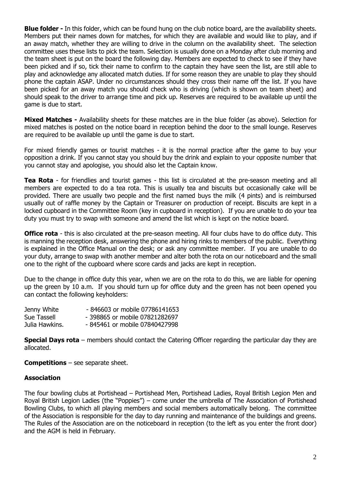**Blue folder -** In this folder, which can be found hung on the club notice board, are the availability sheets. Members put their names down for matches, for which they are available and would like to play, and if an away match, whether they are willing to drive in the column on the availability sheet. The selection committee uses these lists to pick the team. Selection is usually done on a Monday after club morning and the team sheet is put on the board the following day. Members are expected to check to see if they have been picked and if so, tick their name to confirm to the captain they have seen the list, are still able to play and acknowledge any allocated match duties. If for some reason they are unable to play they should phone the captain ASAP. Under no circumstances should they cross their name off the list. If you have been picked for an away match you should check who is driving (which is shown on team sheet) and should speak to the driver to arrange time and pick up. Reserves are required to be available up until the game is due to start.

**Mixed Matches -** Availability sheets for these matches are in the blue folder (as above). Selection for mixed matches is posted on the notice board in reception behind the door to the small lounge. Reserves are required to be available up until the game is due to start.

For mixed friendly games or tourist matches - it is the normal practice after the game to buy your opposition a drink. If you cannot stay you should buy the drink and explain to your opposite number that you cannot stay and apologise, you should also let the Captain know.

**Tea Rota** - for friendlies and tourist games - this list is circulated at the pre-season meeting and all members are expected to do a tea rota. This is usually tea and biscuits but occasionally cake will be provided. There are usually two people and the first named buys the milk (4 pints) and is reimbursed usually out of raffle money by the Captain or Treasurer on production of receipt. Biscuits are kept in a locked cupboard in the Committee Room (key in cupboard in reception). If you are unable to do your tea duty you must try to swap with someone and amend the list which is kept on the notice board.

**Office rota** - this is also circulated at the pre-season meeting. All four clubs have to do office duty. This is manning the reception desk, answering the phone and hiring rinks to members of the public. Everything is explained in the Office Manual on the desk; or ask any committee member. If you are unable to do your duty, arrange to swap with another member and alter both the rota on our noticeboard and the small one to the right of the cupboard where score cards and jacks are kept in reception.

Due to the change in office duty this year, when we are on the rota to do this, we are liable for opening up the green by 10 a.m. If you should turn up for office duty and the green has not been opened you can contact the following keyholders:

| Jenny White    | - 846603 or mobile 07786141653 |
|----------------|--------------------------------|
| Sue Tassell    | - 398865 or mobile 07821282697 |
| Julia Hawkins. | -845461 or mobile 07840427998  |

**Special Days rota** – members should contact the Catering Officer regarding the particular day they are allocated.

**Competitions** – see separate sheet.

#### **Association**

The four bowling clubs at Portishead – Portishead Men, Portishead Ladies, Royal British Legion Men and Royal British Legion Ladies (the "Poppies") – come under the umbrella of The Association of Portishead Bowling Clubs, to which all playing members and social members automatically belong. The committee of the Association is responsible for the day to day running and maintenance of the buildings and greens. The Rules of the Association are on the noticeboard in reception (to the left as you enter the front door) and the AGM is held in February.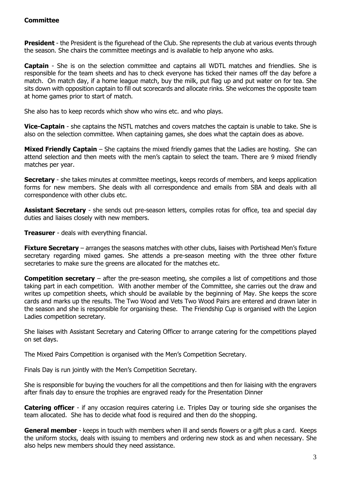#### **Committee**

**President** - the President is the figurehead of the Club. She represents the club at various events through the season. She chairs the committee meetings and is available to help anyone who asks.

**Captain** - She is on the selection committee and captains all WDTL matches and friendlies. She is responsible for the team sheets and has to check everyone has ticked their names off the day before a match. On match day, if a home league match, buy the milk, put flag up and put water on for tea. She sits down with opposition captain to fill out scorecards and allocate rinks. She welcomes the opposite team at home games prior to start of match.

She also has to keep records which show who wins etc. and who plays.

**Vice-Captain** - she captains the NSTL matches and covers matches the captain is unable to take. She is also on the selection committee. When captaining games, she does what the captain does as above.

**Mixed Friendly Captain** – She captains the mixed friendly games that the Ladies are hosting. She can attend selection and then meets with the men's captain to select the team. There are 9 mixed friendly matches per year.

**Secretary** - she takes minutes at committee meetings, keeps records of members, and keeps application forms for new members. She deals with all correspondence and emails from SBA and deals with all correspondence with other clubs etc.

**Assistant Secretary** - she sends out pre-season letters, compiles rotas for office, tea and special day duties and liaises closely with new members.

**Treasurer** - deals with everything financial.

**Fixture Secretary** – arranges the seasons matches with other clubs, liaises with Portishead Men's fixture secretary regarding mixed games. She attends a pre-season meeting with the three other fixture secretaries to make sure the greens are allocated for the matches etc.

**Competition secretary** – after the pre-season meeting, she compiles a list of competitions and those taking part in each competition. With another member of the Committee, she carries out the draw and writes up competition sheets, which should be available by the beginning of May. She keeps the score cards and marks up the results. The Two Wood and Vets Two Wood Pairs are entered and drawn later in the season and she is responsible for organising these. The Friendship Cup is organised with the Legion Ladies competition secretary.

She liaises with Assistant Secretary and Catering Officer to arrange catering for the competitions played on set days.

The Mixed Pairs Competition is organised with the Men's Competition Secretary.

Finals Day is run jointly with the Men's Competition Secretary.

She is responsible for buying the vouchers for all the competitions and then for liaising with the engravers after finals day to ensure the trophies are engraved ready for the Presentation Dinner

**Catering officer** - if any occasion requires catering i.e. Triples Day or touring side she organises the team allocated. She has to decide what food is required and then do the shopping.

**General member** - keeps in touch with members when ill and sends flowers or a gift plus a card. Keeps the uniform stocks, deals with issuing to members and ordering new stock as and when necessary. She also helps new members should they need assistance.